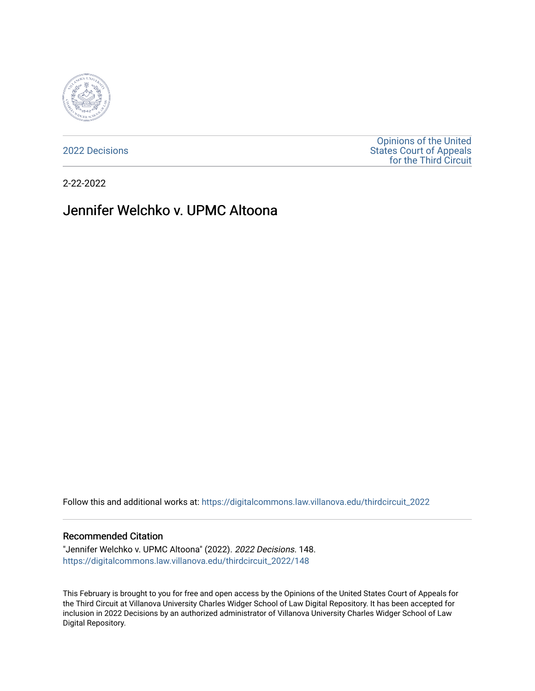

[2022 Decisions](https://digitalcommons.law.villanova.edu/thirdcircuit_2022)

[Opinions of the United](https://digitalcommons.law.villanova.edu/thirdcircuit)  [States Court of Appeals](https://digitalcommons.law.villanova.edu/thirdcircuit)  [for the Third Circuit](https://digitalcommons.law.villanova.edu/thirdcircuit) 

2-22-2022

# Jennifer Welchko v. UPMC Altoona

Follow this and additional works at: [https://digitalcommons.law.villanova.edu/thirdcircuit\\_2022](https://digitalcommons.law.villanova.edu/thirdcircuit_2022?utm_source=digitalcommons.law.villanova.edu%2Fthirdcircuit_2022%2F148&utm_medium=PDF&utm_campaign=PDFCoverPages) 

#### Recommended Citation

"Jennifer Welchko v. UPMC Altoona" (2022). 2022 Decisions. 148. [https://digitalcommons.law.villanova.edu/thirdcircuit\\_2022/148](https://digitalcommons.law.villanova.edu/thirdcircuit_2022/148?utm_source=digitalcommons.law.villanova.edu%2Fthirdcircuit_2022%2F148&utm_medium=PDF&utm_campaign=PDFCoverPages)

This February is brought to you for free and open access by the Opinions of the United States Court of Appeals for the Third Circuit at Villanova University Charles Widger School of Law Digital Repository. It has been accepted for inclusion in 2022 Decisions by an authorized administrator of Villanova University Charles Widger School of Law Digital Repository.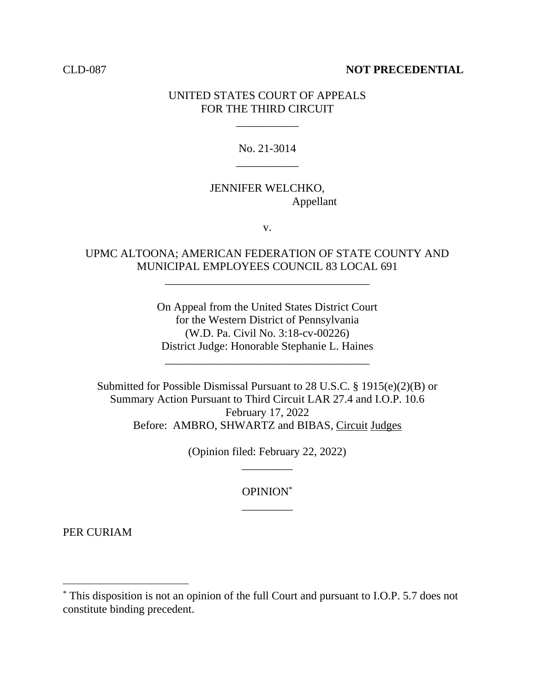#### CLD-087 **NOT PRECEDENTIAL**

### UNITED STATES COURT OF APPEALS FOR THE THIRD CIRCUIT

\_\_\_\_\_\_\_\_\_\_\_

# No. 21-3014 \_\_\_\_\_\_\_\_\_\_\_

# JENNIFER WELCHKO, Appellant

v.

### UPMC ALTOONA; AMERICAN FEDERATION OF STATE COUNTY AND MUNICIPAL EMPLOYEES COUNCIL 83 LOCAL 691

\_\_\_\_\_\_\_\_\_\_\_\_\_\_\_\_\_\_\_\_\_\_\_\_\_\_\_\_\_\_\_\_\_\_\_\_

On Appeal from the United States District Court for the Western District of Pennsylvania (W.D. Pa. Civil No. 3:18-cv-00226) District Judge: Honorable Stephanie L. Haines

\_\_\_\_\_\_\_\_\_\_\_\_\_\_\_\_\_\_\_\_\_\_\_\_\_\_\_\_\_\_\_\_\_\_\_\_

Submitted for Possible Dismissal Pursuant to 28 U.S.C. § 1915(e)(2)(B) or Summary Action Pursuant to Third Circuit LAR 27.4 and I.O.P. 10.6 February 17, 2022 Before: AMBRO, SHWARTZ and BIBAS, Circuit Judges

> (Opinion filed: February 22, 2022) \_\_\_\_\_\_\_\_\_

> > OPINION\* \_\_\_\_\_\_\_\_\_

PER CURIAM

<sup>\*</sup> This disposition is not an opinion of the full Court and pursuant to I.O.P. 5.7 does not constitute binding precedent.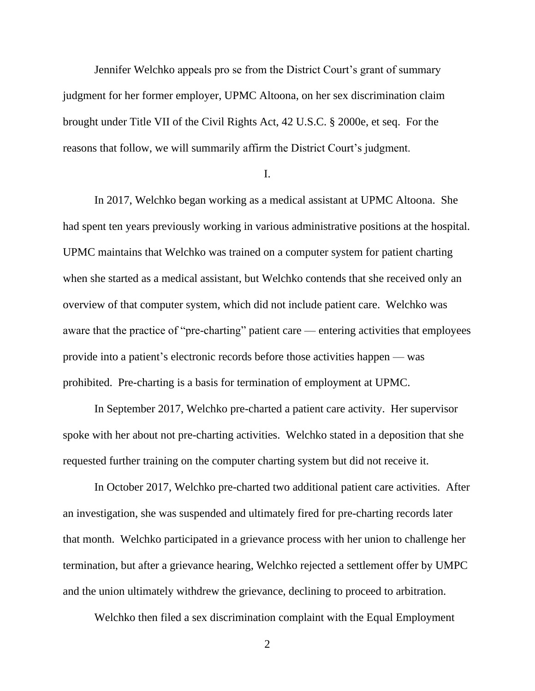Jennifer Welchko appeals pro se from the District Court's grant of summary judgment for her former employer, UPMC Altoona, on her sex discrimination claim brought under Title VII of the Civil Rights Act, 42 U.S.C. § 2000e, et seq. For the reasons that follow, we will summarily affirm the District Court's judgment.

I.

In 2017, Welchko began working as a medical assistant at UPMC Altoona. She had spent ten years previously working in various administrative positions at the hospital. UPMC maintains that Welchko was trained on a computer system for patient charting when she started as a medical assistant, but Welchko contends that she received only an overview of that computer system, which did not include patient care. Welchko was aware that the practice of "pre-charting" patient care — entering activities that employees provide into a patient's electronic records before those activities happen — was prohibited. Pre-charting is a basis for termination of employment at UPMC.

In September 2017, Welchko pre-charted a patient care activity. Her supervisor spoke with her about not pre-charting activities. Welchko stated in a deposition that she requested further training on the computer charting system but did not receive it.

In October 2017, Welchko pre-charted two additional patient care activities. After an investigation, she was suspended and ultimately fired for pre-charting records later that month. Welchko participated in a grievance process with her union to challenge her termination, but after a grievance hearing, Welchko rejected a settlement offer by UMPC and the union ultimately withdrew the grievance, declining to proceed to arbitration.

Welchko then filed a sex discrimination complaint with the Equal Employment

2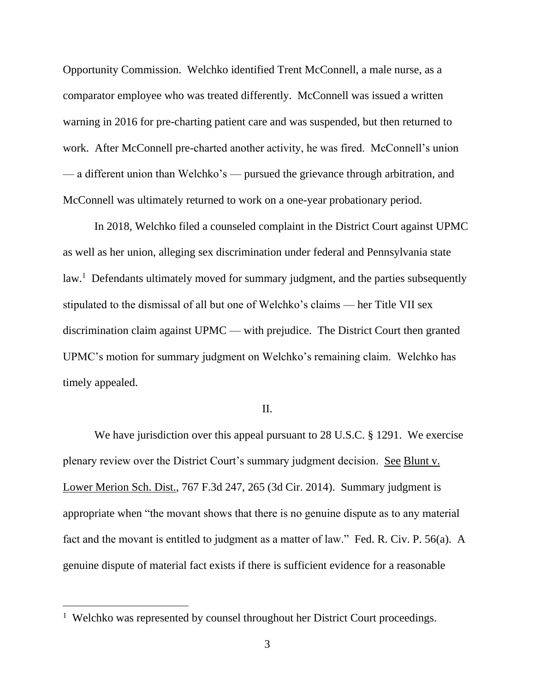Opportunity Commission. Welchko identified Trent McConnell, a male nurse, as a comparator employee who was treated differently. McConnell was issued a written warning in 2016 for pre-charting patient care and was suspended, but then returned to work. After McConnell pre-charted another activity, he was fired. McConnell's union — a different union than Welchko's — pursued the grievance through arbitration, and McConnell was ultimately returned to work on a one-year probationary period.

In 2018, Welchko filed a counseled complaint in the District Court against UPMC as well as her union, alleging sex discrimination under federal and Pennsylvania state law.<sup>1</sup> Defendants ultimately moved for summary judgment, and the parties subsequently stipulated to the dismissal of all but one of Welchko's claims — her Title VII sex discrimination claim against UPMC — with prejudice. The District Court then granted UPMC's motion for summary judgment on Welchko's remaining claim. Welchko has timely appealed.

#### II.

We have jurisdiction over this appeal pursuant to 28 U.S.C. § 1291. We exercise plenary review over the District Court's summary judgment decision. See Blunt v. Lower Merion Sch. Dist., 767 F.3d 247, 265 (3d Cir. 2014). Summary judgment is appropriate when "the movant shows that there is no genuine dispute as to any material fact and the movant is entitled to judgment as a matter of law." Fed. R. Civ. P. 56(a). A genuine dispute of material fact exists if there is sufficient evidence for a reasonable

<sup>&</sup>lt;sup>1</sup> Welchko was represented by counsel throughout her District Court proceedings.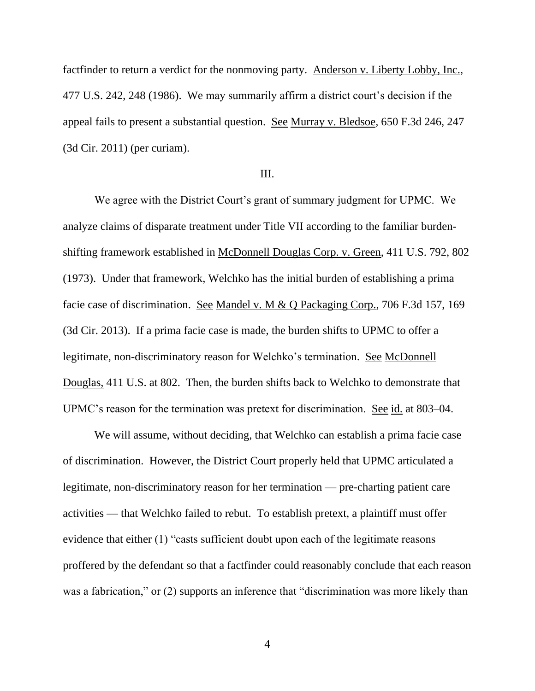factfinder to return a verdict for the nonmoving party. Anderson v. Liberty Lobby, Inc., 477 U.S. 242, 248 (1986). We may summarily affirm a district court's decision if the appeal fails to present a substantial question. See Murray v. Bledsoe, 650 F.3d 246, 247 (3d Cir. 2011) (per curiam).

### III.

We agree with the District Court's grant of summary judgment for UPMC. We analyze claims of disparate treatment under Title VII according to the familiar burdenshifting framework established in McDonnell Douglas Corp. v. Green, 411 U.S. 792, 802 (1973). Under that framework, Welchko has the initial burden of establishing a prima facie case of discrimination. See Mandel v. M & Q Packaging Corp., 706 F.3d 157, 169 (3d Cir. 2013). If a prima facie case is made, the burden shifts to UPMC to offer a legitimate, non-discriminatory reason for Welchko's termination. See McDonnell Douglas, 411 U.S. at 802. Then, the burden shifts back to Welchko to demonstrate that UPMC's reason for the termination was pretext for discrimination. See id. at 803–04.

We will assume, without deciding, that Welchko can establish a prima facie case of discrimination. However, the District Court properly held that UPMC articulated a legitimate, non-discriminatory reason for her termination — pre-charting patient care activities — that Welchko failed to rebut. To establish pretext, a plaintiff must offer evidence that either (1) "casts sufficient doubt upon each of the legitimate reasons proffered by the defendant so that a factfinder could reasonably conclude that each reason was a fabrication," or (2) supports an inference that "discrimination was more likely than

4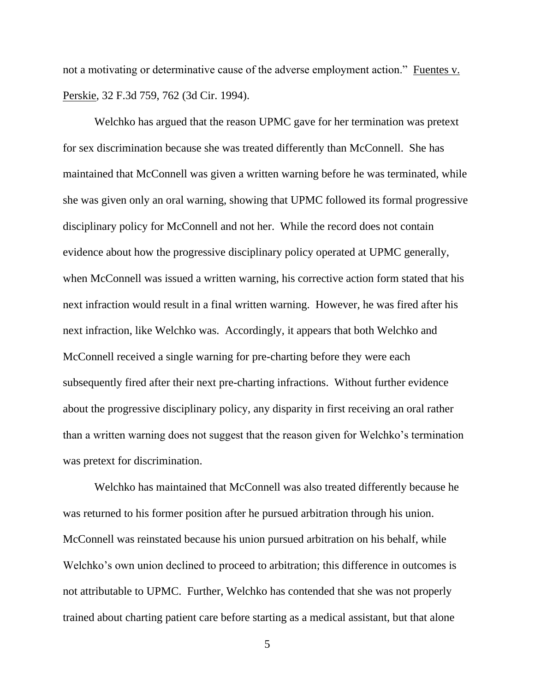not a motivating or determinative cause of the adverse employment action." Fuentes v. Perskie, 32 F.3d 759, 762 (3d Cir. 1994).

Welchko has argued that the reason UPMC gave for her termination was pretext for sex discrimination because she was treated differently than McConnell. She has maintained that McConnell was given a written warning before he was terminated, while she was given only an oral warning, showing that UPMC followed its formal progressive disciplinary policy for McConnell and not her. While the record does not contain evidence about how the progressive disciplinary policy operated at UPMC generally, when McConnell was issued a written warning, his corrective action form stated that his next infraction would result in a final written warning. However, he was fired after his next infraction, like Welchko was. Accordingly, it appears that both Welchko and McConnell received a single warning for pre-charting before they were each subsequently fired after their next pre-charting infractions. Without further evidence about the progressive disciplinary policy, any disparity in first receiving an oral rather than a written warning does not suggest that the reason given for Welchko's termination was pretext for discrimination.

Welchko has maintained that McConnell was also treated differently because he was returned to his former position after he pursued arbitration through his union. McConnell was reinstated because his union pursued arbitration on his behalf, while Welchko's own union declined to proceed to arbitration; this difference in outcomes is not attributable to UPMC. Further, Welchko has contended that she was not properly trained about charting patient care before starting as a medical assistant, but that alone

5